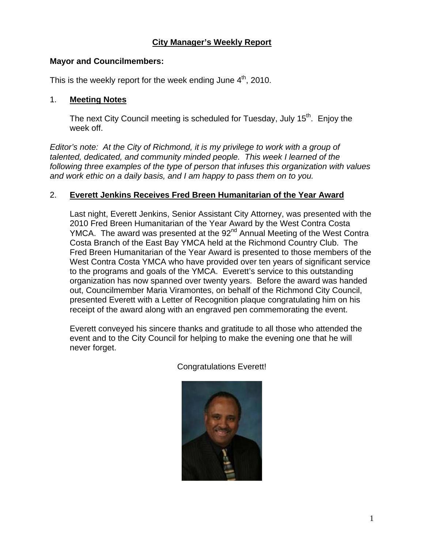## **City Manager's Weekly Report**

### **Mayor and Councilmembers:**

This is the weekly report for the week ending June  $4<sup>th</sup>$ , 2010.

### 1. **Meeting Notes**

The next City Council meeting is scheduled for Tuesday, July 15<sup>th</sup>. Enjoy the week off.

*Editor's note: At the City of Richmond, it is my privilege to work with a group of talented, dedicated, and community minded people. This week I learned of the following three examples of the type of person that infuses this organization with values and work ethic on a daily basis, and I am happy to pass them on to you.* 

### 2. **Everett Jenkins Receives Fred Breen Humanitarian of the Year Award**

Last night, Everett Jenkins, Senior Assistant City Attorney, was presented with the 2010 Fred Breen Humanitarian of the Year Award by the West Contra Costa YMCA. The award was presented at the 92<sup>nd</sup> Annual Meeting of the West Contra Costa Branch of the East Bay YMCA held at the Richmond Country Club. The Fred Breen Humanitarian of the Year Award is presented to those members of the West Contra Costa YMCA who have provided over ten years of significant service to the programs and goals of the YMCA. Everett's service to this outstanding organization has now spanned over twenty years. Before the award was handed out, Councilmember Maria Viramontes, on behalf of the Richmond City Council, presented Everett with a Letter of Recognition plaque congratulating him on his receipt of the award along with an engraved pen commemorating the event.

Everett conveyed his sincere thanks and gratitude to all those who attended the event and to the City Council for helping to make the evening one that he will never forget.

Congratulations Everett!

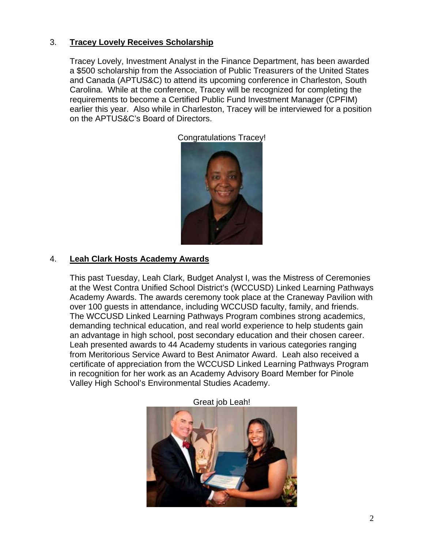## 3. **Tracey Lovely Receives Scholarship**

Tracey Lovely, Investment Analyst in the Finance Department, has been awarded a \$500 scholarship from the Association of Public Treasurers of the United States and Canada (APTUS&C) to attend its upcoming conference in Charleston, South Carolina. While at the conference, Tracey will be recognized for completing the requirements to become a Certified Public Fund Investment Manager (CPFIM) earlier this year. Also while in Charleston, Tracey will be interviewed for a position on the APTUS&C's Board of Directors.



Congratulations Tracey!

## 4. **Leah Clark Hosts Academy Awards**

This past Tuesday, Leah Clark, Budget Analyst I, was the Mistress of Ceremonies at the West Contra Unified School District's (WCCUSD) Linked Learning Pathways Academy Awards. The awards ceremony took place at the Craneway Pavilion with over 100 guests in attendance, including WCCUSD faculty, family, and friends. The WCCUSD Linked Learning Pathways Program combines strong academics, demanding technical education, and real world experience to help students gain an advantage in high school, post secondary education and their chosen career. Leah presented awards to 44 Academy students in various categories ranging from Meritorious Service Award to Best Animator Award. Leah also received a certificate of appreciation from the WCCUSD Linked Learning Pathways Program in recognition for her work as an Academy Advisory Board Member for Pinole Valley High School's Environmental Studies Academy.



Great job Leah!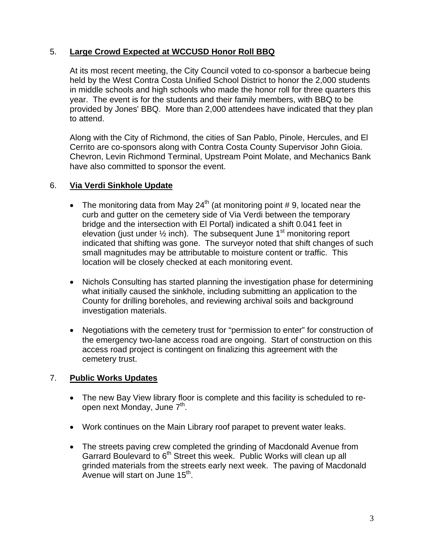# 5. **Large Crowd Expected at WCCUSD Honor Roll BBQ**

At its most recent meeting, the City Council voted to co-sponsor a barbecue being held by the West Contra Costa Unified School District to honor the 2,000 students in middle schools and high schools who made the honor roll for three quarters this year. The event is for the students and their family members, with BBQ to be provided by Jones' BBQ. More than 2,000 attendees have indicated that they plan to attend.

Along with the City of Richmond, the cities of San Pablo, Pinole, Hercules, and El Cerrito are co-sponsors along with Contra Costa County Supervisor John Gioia. Chevron, Levin Richmond Terminal, Upstream Point Molate, and Mechanics Bank have also committed to sponsor the event.

## 6. **Via Verdi Sinkhole Update**

- The monitoring data from May  $24<sup>th</sup>$  (at monitoring point #9, located near the curb and gutter on the cemetery side of Via Verdi between the temporary bridge and the intersection with El Portal) indicated a shift 0.041 feet in elevation (just under  $\frac{1}{2}$  inch). The subsequent June 1<sup>st</sup> monitoring report indicated that shifting was gone. The surveyor noted that shift changes of such small magnitudes may be attributable to moisture content or traffic. This location will be closely checked at each monitoring event.
- Nichols Consulting has started planning the investigation phase for determining what initially caused the sinkhole, including submitting an application to the County for drilling boreholes, and reviewing archival soils and background investigation materials.
- Negotiations with the cemetery trust for "permission to enter" for construction of the emergency two-lane access road are ongoing. Start of construction on this access road project is contingent on finalizing this agreement with the cemetery trust.

## 7. **Public Works Updates**

- The new Bay View library floor is complete and this facility is scheduled to reopen next Monday, June 7<sup>th</sup>.
- Work continues on the Main Library roof parapet to prevent water leaks.
- The streets paving crew completed the grinding of Macdonald Avenue from Garrard Boulevard to  $6<sup>th</sup>$  Street this week. Public Works will clean up all grinded materials from the streets early next week. The paving of Macdonald Avenue will start on June  $15<sup>th</sup>$ .